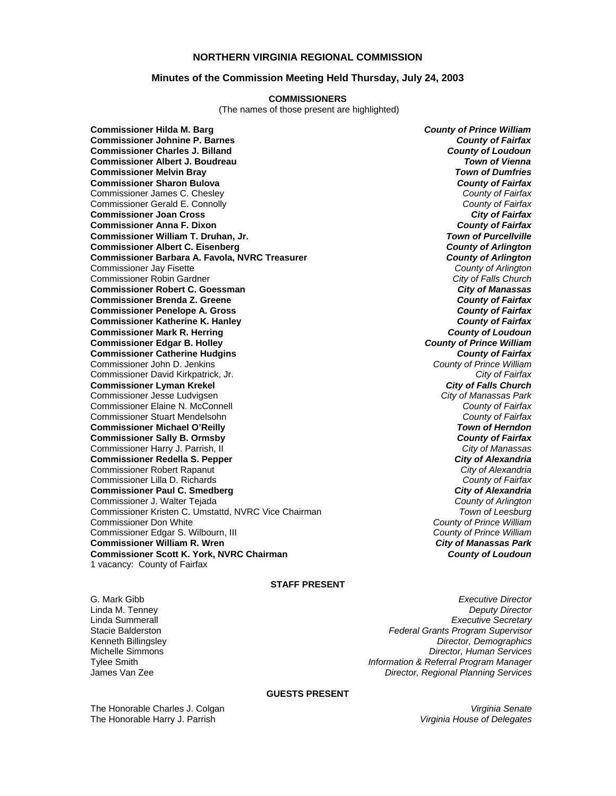## **NORTHERN VIRGINIA REGIONAL COMMISSION**

### **Minutes of the Commission Meeting Held Thursday, July 24, 2003**

#### **COMMISSIONERS**

(The names of those present are highlighted)

**Commissioner Hilda M. Barg** *County of Prince William* **Commissioner Johnine P. Barnes** *County of Fairfax* **Commissioner Charles J. Billand** *County of Loudoun* **Commissioner Albert J. Boudreau** *Town of Vienna* **Commissioner Melvin Bray** *Town of Dumfries* **Commissioner Sharon Bulova** *County of Fairfax* Commissioner James C. Chesley *County of Fairfax* Commissioner Gerald E. Connolly *County of Fairfax* **Commissioner Joan Cross Commissioner Anna F. Dixon** *County of Fairfax* **Commissioner William T. Druhan, Jr.** *Town of Purcellville* **Commissioner Albert C. Eisenberg** *County of Arlington* **Commissioner Barbara A. Favola, NVRC Treasurer** *County of Arlington* Commissioner Jay Fisette *County of Arlington* Commissioner Robin Gardner *City of Falls Church* **Commissioner Robert C. Goessman** *City of Manassas* **Commissioner Brenda Z. Greene** *County of Fairfax* **Commissioner Penelope A. Gross Commissioner Katherine K. Hanley** *County of Fairfax* **Commissioner Mark R. Herring** *County of Loudoun* **Commissioner Edgar B. Holley** *County of Prince William* **Commissioner Catherine Hudgins** *County of Fairfax* Commissioner John D. Jenkins *County of Prince William* Commissioner David Kirkpatrick, Jr. *City of Fairfax* **Commissioner Lyman Krekel** *City of Falls Church* Commissioner Jesse Ludvigsen *City of Manassas Park* Commissioner Elaine N. McConnell *County of Fairfax* Commissioner Stuart Mendelsohn *County of Fairfax* **Commissioner Michael O'Reilly Commissioner Sally B. Ormsby** *County of Fairfax* Commissioner Harry J. Parrish, II *City of Manassas* **Commissioner Redella S. Pepper** *City of Alexandria* Commissioner Robert Rapanut *City of Alexandria* Commissioner Lilla D. Richards *County of Fairfax* **Commissioner Paul C. Smedberg** *City of Alexandria* Commissioner J. Walter Tejada *County of Arlington* Commissioner Kristen C. Umstattd, NVRC Vice Chairman *Town of Leesburg* Commissioner Edgar S. Wilbourn, III *County of Prince William* **Commissioner William R. Wren** *City of Manassas Park* **Commissioner Scott K. York, NVRC Chairman** *County of Loudoun* 1 vacancy: County of Fairfax

**County of Prince William<br>County of Prince William** 

#### **STAFF PRESENT**

G. Mark Gibb *Executive Director* Linda M. Tenney *Deputy Director* Linda Summerall *Executive Secretary* Stacie Balderston *Federal Grants Program Supervisor* Kenneth Billingsley *Director, Demographics* **Director, Human Services** Tylee Smith *Information & Referral Program Manager* James Van Zee *Director, Regional Planning Services*

#### **GUESTS PRESENT**

The Honorable Charles J. Colgan The Honorable Harry J. Parrish

*Virginia Senate Virginia House of Delegates*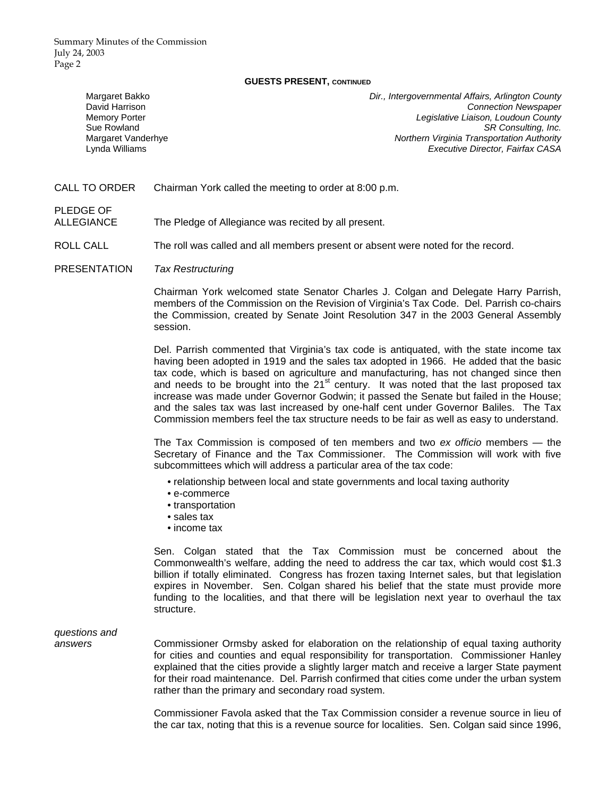Summary Minutes of the Commission July 24, 2003 Page 2

#### **GUESTS PRESENT, CONTINUED**

| Margaret Bakko       | Dir., Intergovernmental Affairs, Arlington County |
|----------------------|---------------------------------------------------|
| David Harrison       | <b>Connection Newspaper</b>                       |
| <b>Memory Porter</b> | Legislative Liaison, Loudoun County               |
| Sue Rowland          | SR Consulting, Inc.                               |
| Margaret Vanderhye   | <b>Northern Virginia Transportation Authority</b> |
| Lynda Williams       | Executive Director, Fairfax CASA                  |
|                      |                                                   |

CALL TO ORDER Chairman York called the meeting to order at 8:00 p.m.

PLEDGE OF

ALLEGIANCE The Pledge of Allegiance was recited by all present.

ROLL CALL The roll was called and all members present or absent were noted for the record.

PRESENTATION *Tax Restructuring*

Chairman York welcomed state Senator Charles J. Colgan and Delegate Harry Parrish, members of the Commission on the Revision of Virginia's Tax Code. Del. Parrish co-chairs the Commission, created by Senate Joint Resolution 347 in the 2003 General Assembly session.

Del. Parrish commented that Virginia's tax code is antiquated, with the state income tax having been adopted in 1919 and the sales tax adopted in 1966. He added that the basic tax code, which is based on agriculture and manufacturing, has not changed since then and needs to be brought into the  $21<sup>st</sup>$  century. It was noted that the last proposed tax increase was made under Governor Godwin; it passed the Senate but failed in the House; and the sales tax was last increased by one-half cent under Governor Baliles. The Tax Commission members feel the tax structure needs to be fair as well as easy to understand.

The Tax Commission is composed of ten members and two *ex officio* members — the Secretary of Finance and the Tax Commissioner. The Commission will work with five subcommittees which will address a particular area of the tax code:

- relationship between local and state governments and local taxing authority
- e-commerce
- transportation
- sales tax
- income tax

Sen. Colgan stated that the Tax Commission must be concerned about the Commonwealth's welfare, adding the need to address the car tax, which would cost \$1.3 billion if totally eliminated. Congress has frozen taxing Internet sales, but that legislation expires in November. Sen. Colgan shared his belief that the state must provide more funding to the localities, and that there will be legislation next year to overhaul the tax structure.

*questions and* 

*answers* Commissioner Ormsby asked for elaboration on the relationship of equal taxing authority for cities and counties and equal responsibility for transportation. Commissioner Hanley explained that the cities provide a slightly larger match and receive a larger State payment for their road maintenance. Del. Parrish confirmed that cities come under the urban system rather than the primary and secondary road system.

> Commissioner Favola asked that the Tax Commission consider a revenue source in lieu of the car tax, noting that this is a revenue source for localities. Sen. Colgan said since 1996,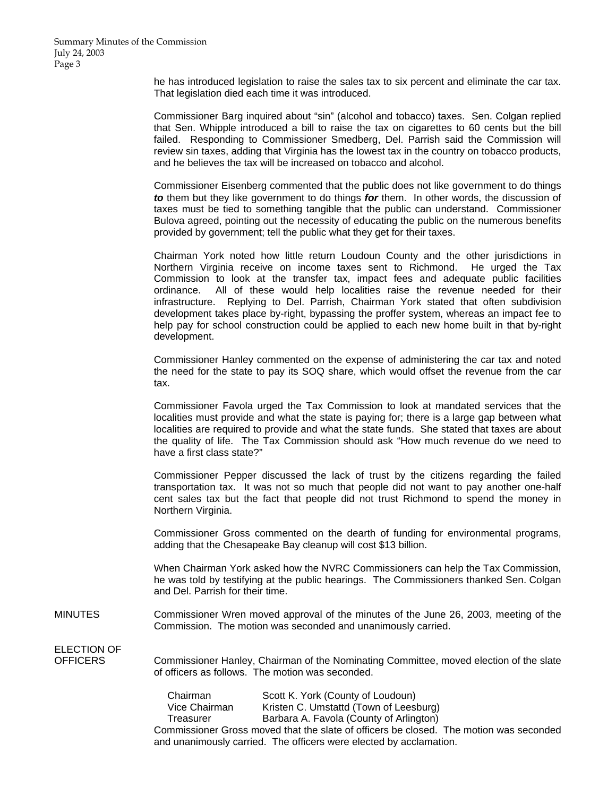he has introduced legislation to raise the sales tax to six percent and eliminate the car tax. That legislation died each time it was introduced.

Commissioner Barg inquired about "sin" (alcohol and tobacco) taxes. Sen. Colgan replied that Sen. Whipple introduced a bill to raise the tax on cigarettes to 60 cents but the bill failed. Responding to Commissioner Smedberg, Del. Parrish said the Commission will review sin taxes, adding that Virginia has the lowest tax in the country on tobacco products, and he believes the tax will be increased on tobacco and alcohol.

Commissioner Eisenberg commented that the public does not like government to do things *to* them but they like government to do things *for* them. In other words, the discussion of taxes must be tied to something tangible that the public can understand. Commissioner Bulova agreed, pointing out the necessity of educating the public on the numerous benefits provided by government; tell the public what they get for their taxes.

Chairman York noted how little return Loudoun County and the other jurisdictions in Northern Virginia receive on income taxes sent to Richmond. He urged the Tax Commission to look at the transfer tax, impact fees and adequate public facilities ordinance. All of these would help localities raise the revenue needed for their infrastructure. Replying to Del. Parrish, Chairman York stated that often subdivision development takes place by-right, bypassing the proffer system, whereas an impact fee to help pay for school construction could be applied to each new home built in that by-right development.

Commissioner Hanley commented on the expense of administering the car tax and noted the need for the state to pay its SOQ share, which would offset the revenue from the car tax.

Commissioner Favola urged the Tax Commission to look at mandated services that the localities must provide and what the state is paying for; there is a large gap between what localities are required to provide and what the state funds. She stated that taxes are about the quality of life. The Tax Commission should ask "How much revenue do we need to have a first class state?"

Commissioner Pepper discussed the lack of trust by the citizens regarding the failed transportation tax. It was not so much that people did not want to pay another one-half cent sales tax but the fact that people did not trust Richmond to spend the money in Northern Virginia.

Commissioner Gross commented on the dearth of funding for environmental programs, adding that the Chesapeake Bay cleanup will cost \$13 billion.

When Chairman York asked how the NVRC Commissioners can help the Tax Commission, he was told by testifying at the public hearings. The Commissioners thanked Sen. Colgan and Del. Parrish for their time.

MINUTES Commissioner Wren moved approval of the minutes of the June 26, 2003, meeting of the Commission. The motion was seconded and unanimously carried.

ELECTION OF

OFFICERS Commissioner Hanley, Chairman of the Nominating Committee, moved election of the slate of officers as follows. The motion was seconded.

| Chairman                                                                               | Scott K. York (County of Loudoun)                                  |
|----------------------------------------------------------------------------------------|--------------------------------------------------------------------|
| Vice Chairman                                                                          | Kristen C. Umstattd (Town of Leesburg)                             |
| Treasurer                                                                              | Barbara A. Favola (County of Arlington)                            |
| Commissioner Gross moved that the slate of officers be closed. The motion was seconded |                                                                    |
|                                                                                        | and unanimously carried. The officers were elected by acclamation. |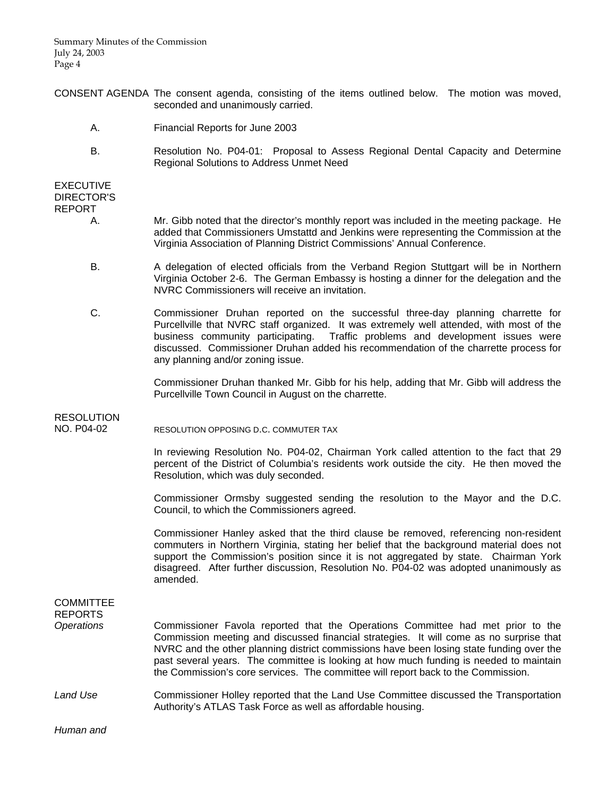Summary Minutes of the Commission July 24, 2003 Page 4

- CONSENT AGENDA The consent agenda, consisting of the items outlined below. The motion was moved, seconded and unanimously carried.
	- A. Financial Reports for June 2003
	- B. Resolution No. P04-01: Proposal to Assess Regional Dental Capacity and Determine Regional Solutions to Address Unmet Need

### EXECUTIVE DIRECTOR'S REPORT

- A. Mr. Gibb noted that the director's monthly report was included in the meeting package. He added that Commissioners Umstattd and Jenkins were representing the Commission at the Virginia Association of Planning District Commissions' Annual Conference.
- B. A delegation of elected officials from the Verband Region Stuttgart will be in Northern Virginia October 2-6. The German Embassy is hosting a dinner for the delegation and the NVRC Commissioners will receive an invitation.
- C. Commissioner Druhan reported on the successful three-day planning charrette for Purcellville that NVRC staff organized. It was extremely well attended, with most of the business community participating. Traffic problems and development issues were discussed. Commissioner Druhan added his recommendation of the charrette process for any planning and/or zoning issue.

 Commissioner Druhan thanked Mr. Gibb for his help, adding that Mr. Gibb will address the Purcellville Town Council in August on the charrette.

# RESOLUTION NO. P04-02 RESOLUTION OPPOSING D.C. COMMUTER TAX

 In reviewing Resolution No. P04-02, Chairman York called attention to the fact that 29 percent of the District of Columbia's residents work outside the city. He then moved the Resolution, which was duly seconded.

 Commissioner Ormsby suggested sending the resolution to the Mayor and the D.C. Council, to which the Commissioners agreed.

 Commissioner Hanley asked that the third clause be removed, referencing non-resident commuters in Northern Virginia, stating her belief that the background material does not support the Commission's position since it is not aggregated by state. Chairman York disagreed. After further discussion, Resolution No. P04-02 was adopted unanimously as amended.

# **COMMITTEE** REPORTS *Operations* Commissioner Favola reported that the Operations Committee had met prior to the Commission meeting and discussed financial strategies. It will come as no surprise that NVRC and the other planning district commissions have been losing state funding over the past several years. The committee is looking at how much funding is needed to maintain the Commission's core services. The committee will report back to the Commission.

## *Land Use* Commissioner Holley reported that the Land Use Committee discussed the Transportation Authority's ATLAS Task Force as well as affordable housing.